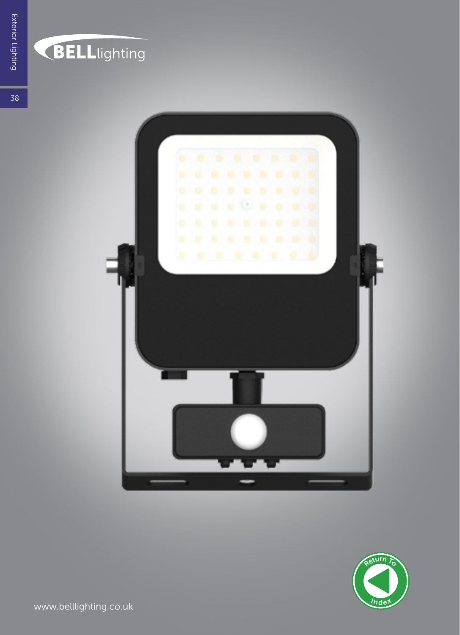## **BELL**lighting



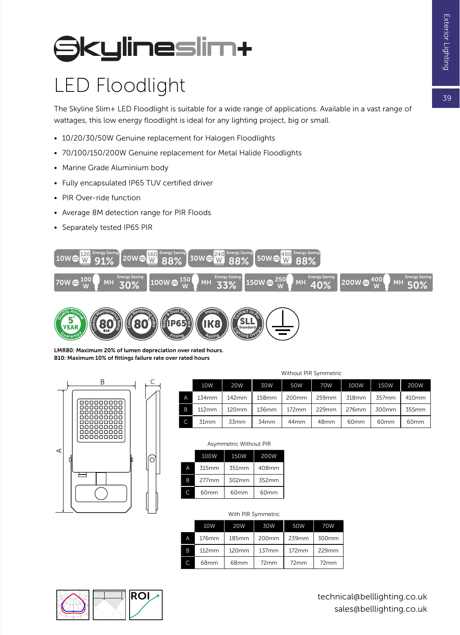$79$ 

# **SkylineSlim+**

### LED Floodlight

The Skyline Slim+ LED Floodlight is suitable for a wide range of applications. Available in a vast range of wattages, this low energy floodlight is ideal for any lighting project, big or small.

- 10/20/30/50W Genuine replacement for Halogen Floodlights
- 70/100/150/200W Genuine replacement for Metal Halide Floodlights

Fitting

Rating

- Marine Grade Aluminium body
- Fully encapsulated IP65 TUV certified driver
- PIR Over-ride function

*<u>Guarantee</u>* 

YEAR

- Average 8M detection range for PIR Floods
- Separately tested IP65 PIR



Chting Design

Standard

LMR80: Maximum 20% of lumen depreciation over rated hours. B10: Maximum 10% of fittings failure rate over rated hours



B10

|   | Without PIR Symmetric |            |       |                  |                  |       |                  |                  |
|---|-----------------------|------------|-------|------------------|------------------|-------|------------------|------------------|
|   | 10W                   | <b>20W</b> | 30W   | 50W              | 70W              | 100W  | 150W             | 200W             |
| Α | 134mm                 | 142mm      | 158mm | 200mm            | 259mm            | 318mm | 357mm            | 410mm            |
| B | 112mm                 | 120mm      | 136mm | 172mm            | 229mm            | 276mm | 300mm            | 355mm            |
|   | 31 <sub>mm</sub>      | 33mm       | 34mm  | 44 <sub>mm</sub> | 48 <sub>mm</sub> | 60mm  | 60 <sub>mm</sub> | 60 <sub>mm</sub> |

|   | 100W     | 150W  | 200W             |  |  |  |  |
|---|----------|-------|------------------|--|--|--|--|
| Д | 315mm    | 351mm | 408mm            |  |  |  |  |
| B | $277$ mm | 302mm | 352mm            |  |  |  |  |
|   | 60mm     | 60mm  | 60 <sub>mm</sub> |  |  |  |  |

#### Asymmetric Without PIR

| 315mm                        | 351 <sub>mm</sub> | 408mm            |  |  |  |
|------------------------------|-------------------|------------------|--|--|--|
| 277mm                        | 302mm             | 352mm            |  |  |  |
| 60mm                         | 60mm              | 60 <sub>mm</sub> |  |  |  |
|                              |                   |                  |  |  |  |
| $MH + L$ DID<br>$C$ ummatria |                   |                  |  |  |  |

|   | 10W   | <b>20W</b> | 30W   | 50W   | 70W   |  |  |  |
|---|-------|------------|-------|-------|-------|--|--|--|
| A | 176mm | 185mm      | 200mm | 239mm | 300mm |  |  |  |
| B | 112mm | 120mm      | 137mm | 172mm | 229mm |  |  |  |
| C | 68mm  | 68mm       | 72mm  | 72mm  | 72mm  |  |  |  |



technical@belllighting.co.uk sales@belllighting.co.uk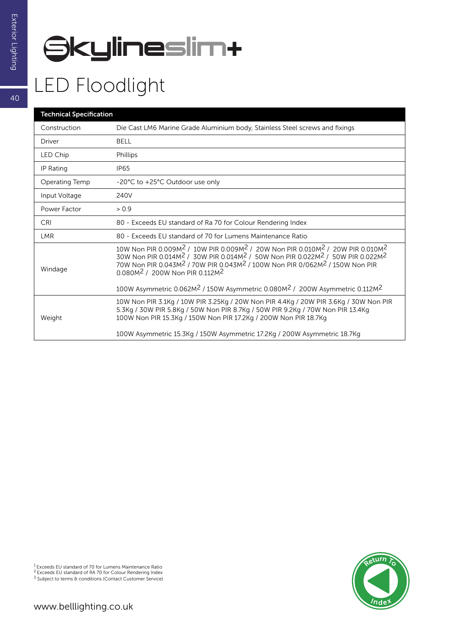# **SkylineSlim+**

#### LED Floodlight

| <b>Technical Specification</b> |                                                                                                                                                                                                                                                                                                                                                                                                                                             |  |  |  |  |
|--------------------------------|---------------------------------------------------------------------------------------------------------------------------------------------------------------------------------------------------------------------------------------------------------------------------------------------------------------------------------------------------------------------------------------------------------------------------------------------|--|--|--|--|
| Construction                   | Die Cast LM6 Marine Grade Aluminium body, Stainless Steel screws and fixings                                                                                                                                                                                                                                                                                                                                                                |  |  |  |  |
| Driver                         | BELL                                                                                                                                                                                                                                                                                                                                                                                                                                        |  |  |  |  |
| LED Chip                       | Phillips                                                                                                                                                                                                                                                                                                                                                                                                                                    |  |  |  |  |
| IP Rating                      | <b>IP65</b>                                                                                                                                                                                                                                                                                                                                                                                                                                 |  |  |  |  |
| Operating Temp                 | -20°C to +25°C Outdoor use only                                                                                                                                                                                                                                                                                                                                                                                                             |  |  |  |  |
| Input Voltage                  | 240V                                                                                                                                                                                                                                                                                                                                                                                                                                        |  |  |  |  |
| Power Factor                   | > 0.9                                                                                                                                                                                                                                                                                                                                                                                                                                       |  |  |  |  |
| CRI                            | 80 - Exceeds EU standard of Ra 70 for Colour Rendering Index                                                                                                                                                                                                                                                                                                                                                                                |  |  |  |  |
| <b>LMR</b>                     | 80 - Exceeds EU standard of 70 for Lumens Maintenance Ratio                                                                                                                                                                                                                                                                                                                                                                                 |  |  |  |  |
| Windage                        | 10W Non PIR 0.009M <sup>2</sup> / 10W PIR 0.009M <sup>2</sup> / 20W Non PIR 0.010M <sup>2</sup> / 20W PIR 0.010M <sup>2</sup><br>30W Non PIR 0.014M <sup>2</sup> / 30W PIR 0.014M <sup>2</sup> / 50W Non PIR 0.022M <sup>2</sup> / 50W PIR 0.022M <sup>2</sup><br>70W Non PIR 0.043M <sup>2</sup> / 70W PIR 0.043M <sup>2</sup> / 100W Non PIR 0/062M <sup>2</sup> / 150W Non PIR<br>0.080M <sup>2</sup> / 200W Non PIR 0.112M <sup>2</sup> |  |  |  |  |
|                                | 100W Asymmetric 0.062M <sup>2</sup> / 150W Asymmetric 0.080M <sup>2</sup> / 200W Asymmetric 0.112M <sup>2</sup>                                                                                                                                                                                                                                                                                                                             |  |  |  |  |
| Weight                         | 10W Non PIR 3.1Kg / 10W PIR 3.25Kg / 20W Non PIR 4.4Kg / 20W PIR 3.6Kg / 30W Non PIR<br>5.3Kg / 30W PIR 5.8Kg / 50W Non PIR 8.7Kg / 50W PIR 9.2Kg / 70W Non PIR 13.4Kg<br>100W Non PIR 15.3Kg / 150W Non PIR 17.2Kg / 200W Non PIR 18.7Kg                                                                                                                                                                                                   |  |  |  |  |
|                                | 100W Asymmetric 15.3Kg / 150W Asymmetric 17.2Kg / 200W Asymmetric 18.7Kg                                                                                                                                                                                                                                                                                                                                                                    |  |  |  |  |



<sup>1</sup> Exceeds EU standard of 70 for Lumens Maintenance Ratio<br><sup>2</sup> Exceeds EU standard of RA 70 for Colour Rendering Index<br><sup>3</sup> Subject to terms & conditions (Contact Customer Service)

40